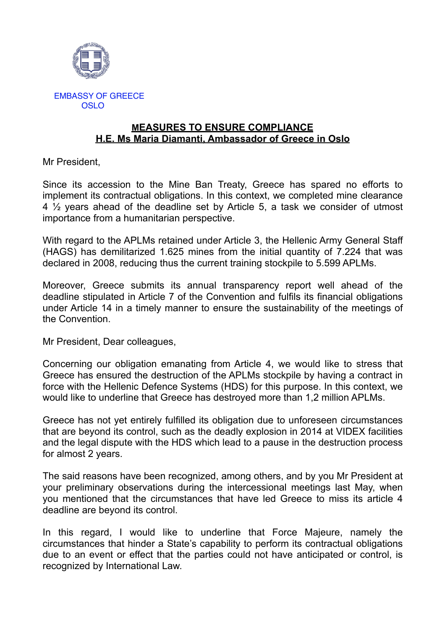

## **MEASURES TO ENSURE COMPLIANCE H.E. Ms Maria Diamanti, Ambassador of Greece in Oslo**

Mr President,

Since its accession to the Mine Ban Treaty, Greece has spared no efforts to implement its contractual obligations. In this context, we completed mine clearance 4 ½ years ahead of the deadline set by Article 5, a task we consider of utmost importance from a humanitarian perspective.

With regard to the APLMs retained under Article 3, the Hellenic Army General Staff (HAGS) has demilitarized 1.625 mines from the initial quantity of 7.224 that was declared in 2008, reducing thus the current training stockpile to 5.599 APLMs.

Moreover, Greece submits its annual transparency report well ahead of the deadline stipulated in Article 7 of the Convention and fulfils its financial obligations under Article 14 in a timely manner to ensure the sustainability of the meetings of the Convention.

Mr President, Dear colleagues,

Concerning our obligation emanating from Article 4, we would like to stress that Greece has ensured the destruction of the APLMs stockpile by having a contract in force with the Hellenic Defence Systems (HDS) for this purpose. In this context, we would like to underline that Greece has destroyed more than 1,2 million APLMs.

Greece has not yet entirely fulfilled its obligation due to unforeseen circumstances that are beyond its control, such as the deadly explosion in 2014 at VIDEX facilities and the legal dispute with the HDS which lead to a pause in the destruction process for almost 2 years.

The said reasons have been recognized, among others, and by you Mr President at your preliminary observations during the intercessional meetings last May, when you mentioned that the circumstances that have led Greece to miss its article 4 deadline are beyond its control.

In this regard, I would like to underline that Force Majeure, namely the circumstances that hinder a State's capability to perform its contractual obligations due to an event or effect that the parties could not have anticipated or control, is recognized by International Law.